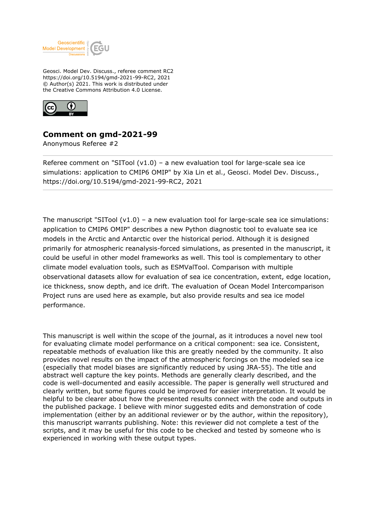

Geosci. Model Dev. Discuss., referee comment RC2 https://doi.org/10.5194/gmd-2021-99-RC2, 2021 © Author(s) 2021. This work is distributed under the Creative Commons Attribution 4.0 License.



## **Comment on gmd-2021-99**

Anonymous Referee #2

Referee comment on "SITool  $(v1.0)$  – a new evaluation tool for large-scale sea ice simulations: application to CMIP6 OMIP" by Xia Lin et al., Geosci. Model Dev. Discuss., https://doi.org/10.5194/gmd-2021-99-RC2, 2021

The manuscript "SITool  $(v1.0)$  – a new evaluation tool for large-scale sea ice simulations: application to CMIP6 OMIP" describes a new Python diagnostic tool to evaluate sea ice models in the Arctic and Antarctic over the historical period. Although it is designed primarily for atmospheric reanalysis-forced simulations, as presented in the manuscript, it could be useful in other model frameworks as well. This tool is complementary to other climate model evaluation tools, such as ESMValTool. Comparison with multiple observational datasets allow for evaluation of sea ice concentration, extent, edge location, ice thickness, snow depth, and ice drift. The evaluation of Ocean Model Intercomparison Project runs are used here as example, but also provide results and sea ice model performance.

This manuscript is well within the scope of the journal, as it introduces a novel new tool for evaluating climate model performance on a critical component: sea ice. Consistent, repeatable methods of evaluation like this are greatly needed by the community. It also provides novel results on the impact of the atmospheric forcings on the modeled sea ice (especially that model biases are significantly reduced by using JRA-55). The title and abstract well capture the key points. Methods are generally clearly described, and the code is well-documented and easily accessible. The paper is generally well structured and clearly written, but some figures could be improved for easier interpretation. It would be helpful to be clearer about how the presented results connect with the code and outputs in the published package. I believe with minor suggested edits and demonstration of code implementation (either by an additional reviewer or by the author, within the repository), this manuscript warrants publishing. Note: this reviewer did not complete a test of the scripts, and it may be useful for this code to be checked and tested by someone who is experienced in working with these output types.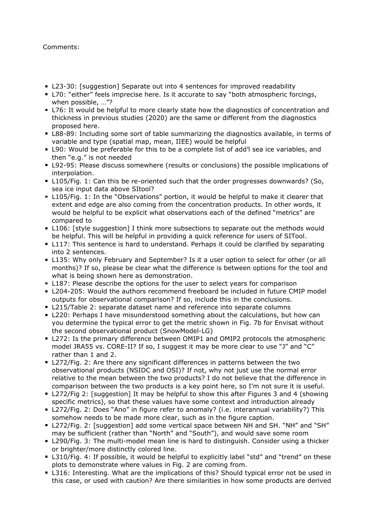## Comments:

- L23-30: [suggestion] Separate out into 4 sentences for improved readability
- L70: "either" feels imprecise here. Is it accurate to say "both atmospheric forcings, when possible, …"?
- L76: It would be helpful to more clearly state how the diagnostics of concentration and thickness in previous studies (2020) are the same or different from the diagnostics proposed here.
- L88-89: Including some sort of table summarizing the diagnostics available, in terms of variable and type (spatial map, mean, IIEE) would be helpful
- L90: Would be preferable for this to be a complete list of add'l sea ice variables, and then "e.g." is not needed
- L92-95: Please discuss somewhere (results or conclusions) the possible implications of interpolation.
- **L105/Fig. 1: Can this be re-oriented such that the order progresses downwards? (So,** sea ice input data above SItool?
- **L105/Fig. 1: In the "Observations" portion, it would be helpful to make it clearer that** extent and edge are also coming from the concentration products. In other words, it would be helpful to be explicit what observations each of the defined "metrics" are compared to
- L106: [style suggestion] I think more subsections to separate out the methods would be helpful. This will be helpful in providing a quick reference for users of SITool.
- **L117:** This sentence is hard to understand. Perhaps it could be clarified by separating into 2 sentences.
- L135: Why only February and September? Is it a user option to select for other (or all months)? If so, please be clear what the difference is between options for the tool and what is being shown here as demonstration.
- L187: Please describe the options for the user to select years for comparison
- L204-205: Would the authors recommend freeboard be included in future CMIP model outputs for observational comparison? If so, include this in the conclusions.
- L215/Table 2: separate dataset name and reference into separate columns
- L220: Perhaps I have misunderstood something about the calculations, but how can you determine the typical error to get the metric shown in Fig. 7b for Envisat without the second observational product (SnowModel-LG)
- L272: Is the primary difference between OMIP1 and OMIP2 protocols the atmospheric model JRA55 vs. CORE-II? If so, I suggest it may be more clear to use "J" and "C" rather than 1 and 2.
- **L272/Fig. 2: Are there any significant differences in patterns between the two** observational products (NSIDC and OSI)? If not, why not just use the normal error relative to the mean between the two products? I do not believe that the difference in comparison between the two products is a key point here, so I'm not sure it is useful.
- L272/Fig 2: [suggestion] It may be helpful to show this after Figures 3 and 4 (showing specific metrics), so that these values have some context and introduction already
- L272/Fig. 2: Does "Ano" in figure refer to anomaly? (i.e. interannual variability?) This somehow needs to be made more clear, such as in the figure caption.
- L272/Fig. 2: [suggestion] add some vertical space between NH and SH. "NH" and "SH" may be sufficient (rather than "North" and "South"), and would save some room
- L290/Fig. 3: The multi-model mean line is hard to distinguish. Consider using a thicker or brighter/more distinctly colored line.
- L310/Fig. 4: If possible, it would be helpful to explicitly label "std" and "trend" on these plots to demonstrate where values in Fig. 2 are coming from.
- L316: Interesting. What are the implications of this? Should typical error not be used in this case, or used with caution? Are there similarities in how some products are derived